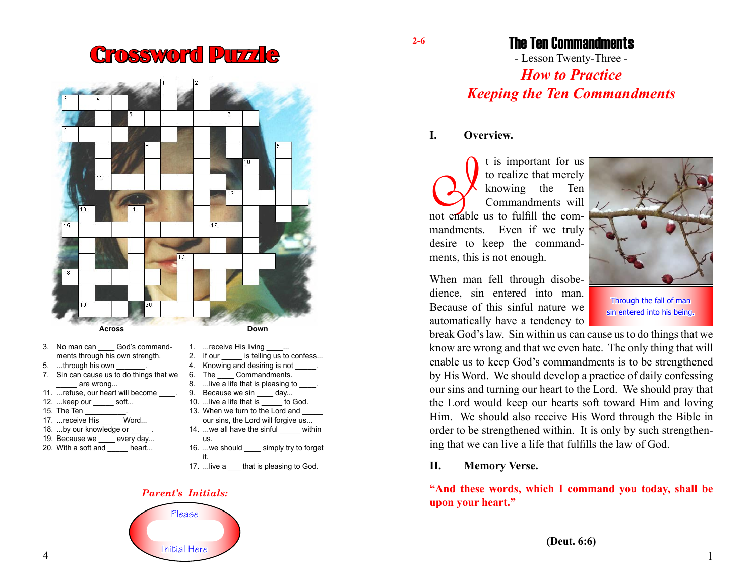# Crossword Puzzle



- 3. No man can God's commandments through his own strength.
- 5. ...through his own
- 7. Sin can cause us to do things that we are wrong...
- 11. ... refuse, our heart will become
- 12. ...keep our soft...
- 
- 15. The Ten \_\_\_\_\_\_\_\_\_\_\_.<br>17. ...receive His Word... 17. ...receive His
- 18. ...by our knowledge or
- 19. Because we every day...
- 20. With a soft and heart...
- 1. ...receive His living 2. If our is telling us to confess...
- 
- 4. Knowing and desiring is not \_<br>6. The Commandments. Commandments.
- 8. ...live a life that is pleasing to
- 9. Because we sin day...
- 10. ...live a life that is to God.
- 13. When we turn to the Lord and our sins, the Lord will forgive us...
- 14. ...we all have the sinful within us.
- 16. ...we should simply try to forget it.
- 17. ...live a that is pleasing to God.

#### *Parent's Initials:*



The Ten Commandments

- Lesson Twenty-Three - *How to Practice Keeping the Ten Commandments*

#### **I. Overview.**

**2-6**

I t is important for us<br>to realize that merely<br>knowing the Ten<br>Commandments will<br>not enable us to fulfill the comto realize that merely knowing the Ten Commandments will mandments. Even if we truly desire to keep the commandments, this is not enough.

When man fell through disobedience, sin entered into man. Because of this sinful nature we automatically have a tendency to



Through the fall of man sin entered into his being.

break God's law. Sin within us can cause us to do things that we know are wrong and that we even hate. The only thing that will enable us to keep God's commandments is to be strengthened by His Word. We should develop a practice of daily confessing our sins and turning our heart to the Lord. We should pray that the Lord would keep our hearts soft toward Him and loving Him. We should also receive His Word through the Bible in order to be strengthened within. It is only by such strengthening that we can live a life that fulfills the law of God.

#### **II. Memory Verse.**

## **"And these words, which I command you today, shall be upon your heart."**

1